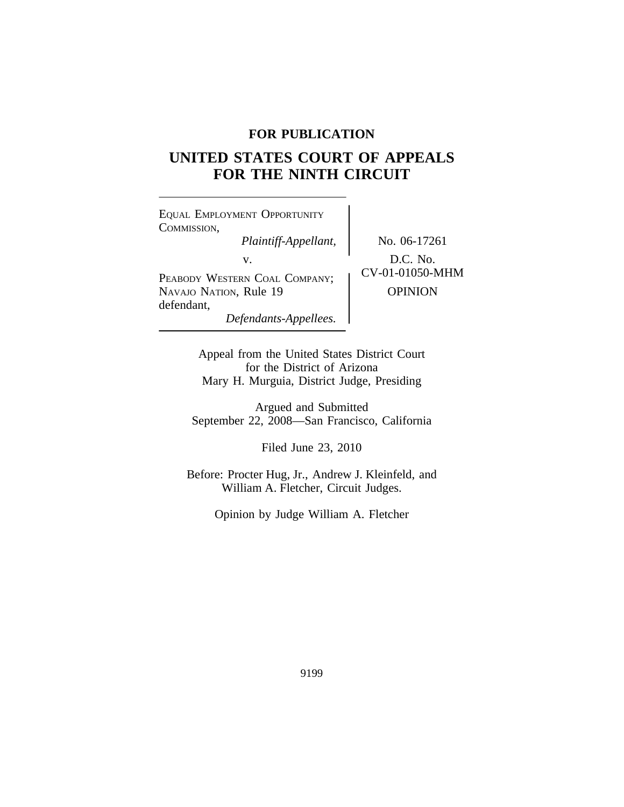# **FOR PUBLICATION**

# **UNITED STATES COURT OF APPEALS FOR THE NINTH CIRCUIT**

<sup>E</sup>QUAL EMPLOYMENT OPPORTUNITY COMMISSION, *Plaintiff-Appellant,* No. 06-17261 v.  $\left\{\n \begin{array}{c}\n \text{D.C. No.}\n \text{COMBANY:}\n \end{array}\n \right\}\n \text{CV-01-01050-MHM}$ PEABODY WESTERN COAL COMPANY; NAVAJO NATION, Rule 19 **OPINION** defendant, *Defendants-Appellees.*

Appeal from the United States District Court for the District of Arizona Mary H. Murguia, District Judge, Presiding

Argued and Submitted September 22, 2008—San Francisco, California

Filed June 23, 2010

Before: Procter Hug, Jr., Andrew J. Kleinfeld, and William A. Fletcher, Circuit Judges.

Opinion by Judge William A. Fletcher

9199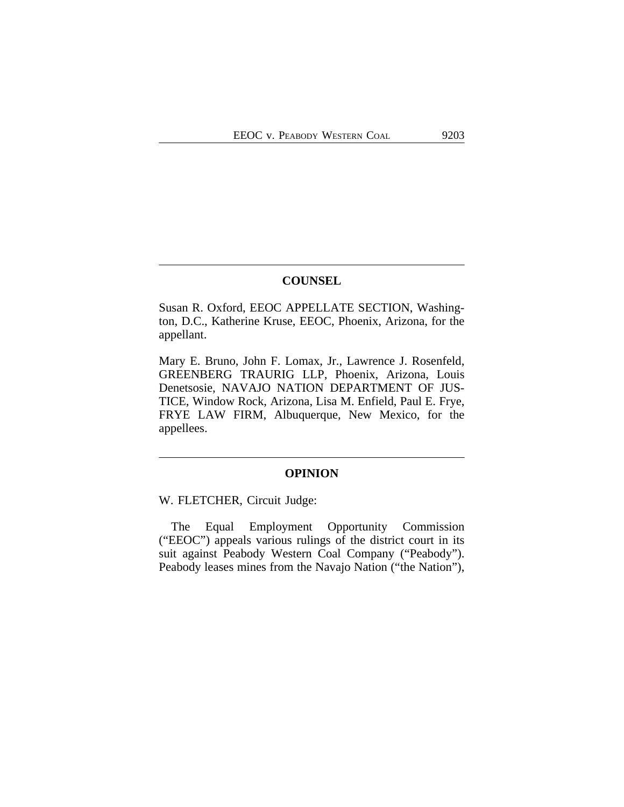# **COUNSEL**

Susan R. Oxford, EEOC APPELLATE SECTION, Washington, D.C., Katherine Kruse, EEOC, Phoenix, Arizona, for the appellant.

Mary E. Bruno, John F. Lomax, Jr., Lawrence J. Rosenfeld, GREENBERG TRAURIG LLP, Phoenix, Arizona, Louis Denetsosie, NAVAJO NATION DEPARTMENT OF JUS-TICE, Window Rock, Arizona, Lisa M. Enfield, Paul E. Frye, FRYE LAW FIRM, Albuquerque, New Mexico, for the appellees.

# **OPINION**

W. FLETCHER, Circuit Judge:

The Equal Employment Opportunity Commission ("EEOC") appeals various rulings of the district court in its suit against Peabody Western Coal Company ("Peabody"). Peabody leases mines from the Navajo Nation ("the Nation"),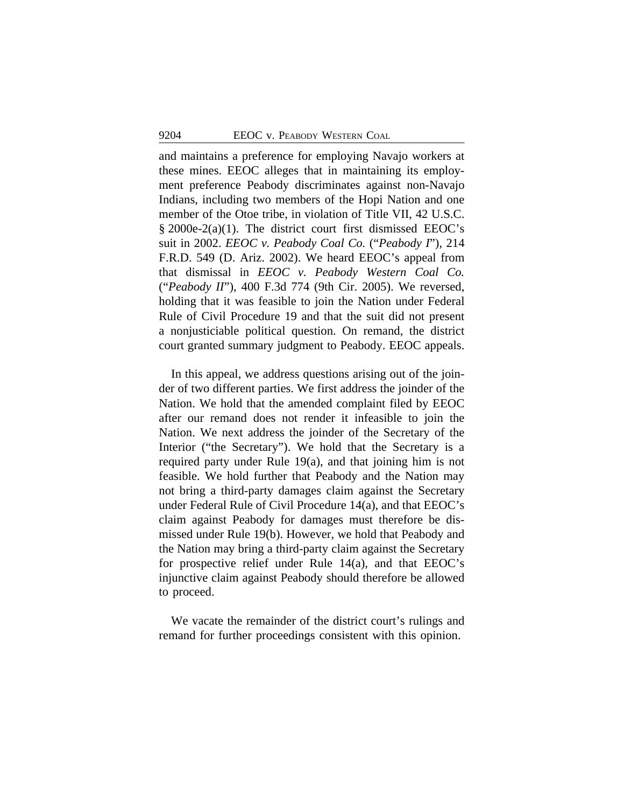and maintains a preference for employing Navajo workers at these mines. EEOC alleges that in maintaining its employment preference Peabody discriminates against non-Navajo Indians, including two members of the Hopi Nation and one member of the Otoe tribe, in violation of Title VII, 42 U.S.C. § 2000e-2(a)(1). The district court first dismissed EEOC's suit in 2002. *EEOC v. Peabody Coal Co.* ("*Peabody I*"), 214 F.R.D. 549 (D. Ariz. 2002). We heard EEOC's appeal from that dismissal in *EEOC v. Peabody Western Coal Co.* ("*Peabody II*"), 400 F.3d 774 (9th Cir. 2005). We reversed, holding that it was feasible to join the Nation under Federal Rule of Civil Procedure 19 and that the suit did not present a nonjusticiable political question. On remand, the district court granted summary judgment to Peabody. EEOC appeals.

In this appeal, we address questions arising out of the joinder of two different parties. We first address the joinder of the Nation. We hold that the amended complaint filed by EEOC after our remand does not render it infeasible to join the Nation. We next address the joinder of the Secretary of the Interior ("the Secretary"). We hold that the Secretary is a required party under Rule 19(a), and that joining him is not feasible. We hold further that Peabody and the Nation may not bring a third-party damages claim against the Secretary under Federal Rule of Civil Procedure 14(a), and that EEOC's claim against Peabody for damages must therefore be dismissed under Rule 19(b). However, we hold that Peabody and the Nation may bring a third-party claim against the Secretary for prospective relief under Rule 14(a), and that EEOC's injunctive claim against Peabody should therefore be allowed to proceed.

We vacate the remainder of the district court's rulings and remand for further proceedings consistent with this opinion.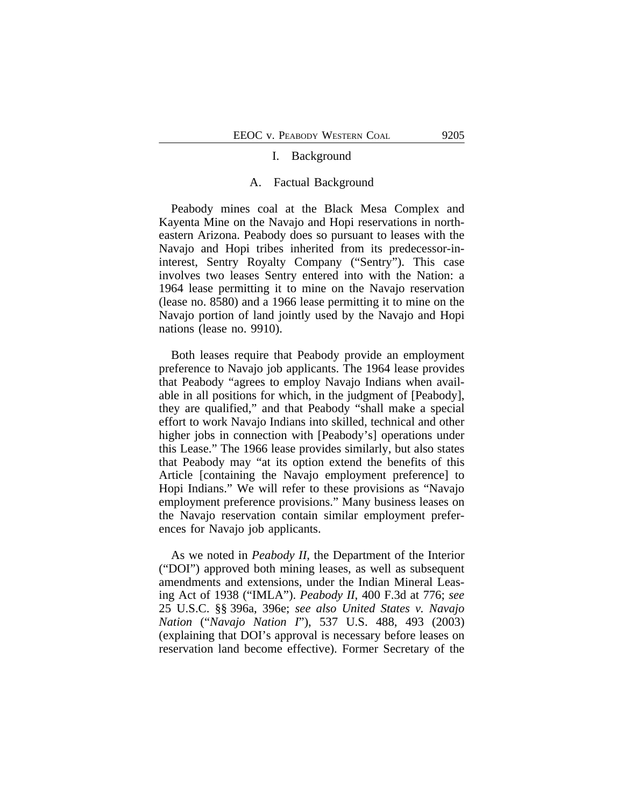#### I. Background

#### A. Factual Background

Peabody mines coal at the Black Mesa Complex and Kayenta Mine on the Navajo and Hopi reservations in northeastern Arizona. Peabody does so pursuant to leases with the Navajo and Hopi tribes inherited from its predecessor-ininterest, Sentry Royalty Company ("Sentry"). This case involves two leases Sentry entered into with the Nation: a 1964 lease permitting it to mine on the Navajo reservation (lease no. 8580) and a 1966 lease permitting it to mine on the Navajo portion of land jointly used by the Navajo and Hopi nations (lease no. 9910).

Both leases require that Peabody provide an employment preference to Navajo job applicants. The 1964 lease provides that Peabody "agrees to employ Navajo Indians when available in all positions for which, in the judgment of [Peabody], they are qualified," and that Peabody "shall make a special effort to work Navajo Indians into skilled, technical and other higher jobs in connection with [Peabody's] operations under this Lease." The 1966 lease provides similarly, but also states that Peabody may "at its option extend the benefits of this Article [containing the Navajo employment preference] to Hopi Indians." We will refer to these provisions as "Navajo employment preference provisions." Many business leases on the Navajo reservation contain similar employment preferences for Navajo job applicants.

As we noted in *Peabody II*, the Department of the Interior ("DOI") approved both mining leases, as well as subsequent amendments and extensions, under the Indian Mineral Leasing Act of 1938 ("IMLA"). *Peabody II*, 400 F.3d at 776; *see* 25 U.S.C. §§ 396a, 396e; *see also United States v. Navajo Nation* ("*Navajo Nation I*"), 537 U.S. 488, 493 (2003) (explaining that DOI's approval is necessary before leases on reservation land become effective). Former Secretary of the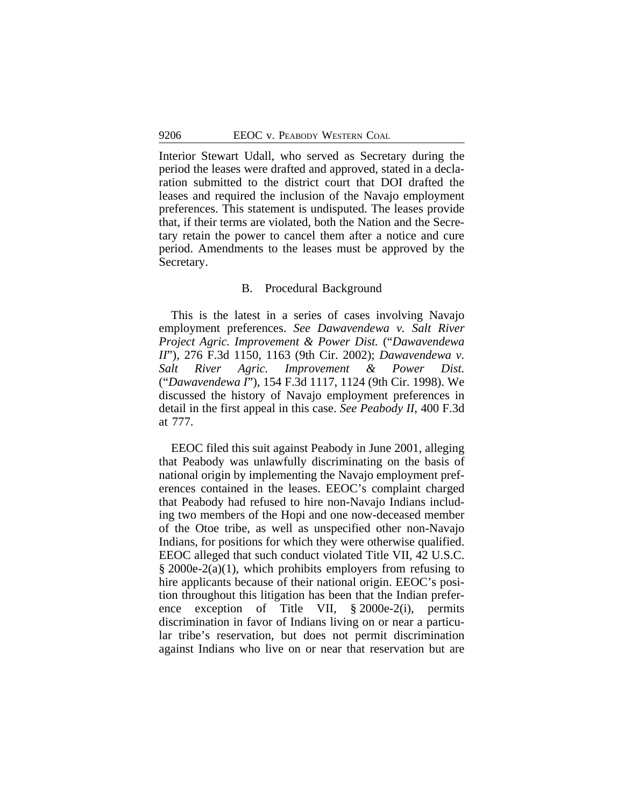Interior Stewart Udall, who served as Secretary during the period the leases were drafted and approved, stated in a declaration submitted to the district court that DOI drafted the leases and required the inclusion of the Navajo employment preferences. This statement is undisputed. The leases provide that, if their terms are violated, both the Nation and the Secretary retain the power to cancel them after a notice and cure period. Amendments to the leases must be approved by the Secretary.

#### B. Procedural Background

This is the latest in a series of cases involving Navajo employment preferences. *See Dawavendewa v. Salt River Project Agric. Improvement & Power Dist.* ("*Dawavendewa II*"), 276 F.3d 1150, 1163 (9th Cir. 2002); *Dawavendewa v. Salt River Agric. Improvement & Power Dist.* ("*Dawavendewa I*"), 154 F.3d 1117, 1124 (9th Cir. 1998). We discussed the history of Navajo employment preferences in detail in the first appeal in this case. *See Peabody II*, 400 F.3d at 777.

EEOC filed this suit against Peabody in June 2001, alleging that Peabody was unlawfully discriminating on the basis of national origin by implementing the Navajo employment preferences contained in the leases. EEOC's complaint charged that Peabody had refused to hire non-Navajo Indians including two members of the Hopi and one now-deceased member of the Otoe tribe, as well as unspecified other non-Navajo Indians, for positions for which they were otherwise qualified. EEOC alleged that such conduct violated Title VII, 42 U.S.C. § 2000e-2(a)(1), which prohibits employers from refusing to hire applicants because of their national origin. EEOC's position throughout this litigation has been that the Indian preference exception of Title VII, § 2000e-2(i), permits discrimination in favor of Indians living on or near a particular tribe's reservation, but does not permit discrimination against Indians who live on or near that reservation but are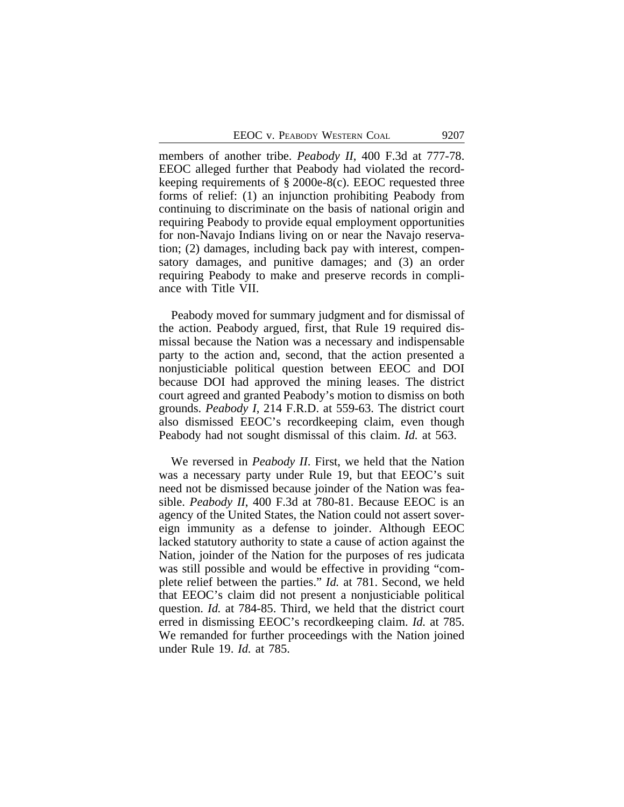members of another tribe. *Peabody II*, 400 F.3d at 777-78. EEOC alleged further that Peabody had violated the recordkeeping requirements of § 2000e-8(c). EEOC requested three forms of relief: (1) an injunction prohibiting Peabody from continuing to discriminate on the basis of national origin and requiring Peabody to provide equal employment opportunities for non-Navajo Indians living on or near the Navajo reservation; (2) damages, including back pay with interest, compensatory damages, and punitive damages; and (3) an order requiring Peabody to make and preserve records in compliance with Title VII.

Peabody moved for summary judgment and for dismissal of the action. Peabody argued, first, that Rule 19 required dismissal because the Nation was a necessary and indispensable party to the action and, second, that the action presented a nonjusticiable political question between EEOC and DOI because DOI had approved the mining leases. The district court agreed and granted Peabody's motion to dismiss on both grounds. *Peabody I*, 214 F.R.D. at 559-63. The district court also dismissed EEOC's recordkeeping claim, even though Peabody had not sought dismissal of this claim. *Id.* at 563.

We reversed in *Peabody II*. First, we held that the Nation was a necessary party under Rule 19, but that EEOC's suit need not be dismissed because joinder of the Nation was feasible. *Peabody II*, 400 F.3d at 780-81. Because EEOC is an agency of the United States, the Nation could not assert sovereign immunity as a defense to joinder. Although EEOC lacked statutory authority to state a cause of action against the Nation, joinder of the Nation for the purposes of res judicata was still possible and would be effective in providing "complete relief between the parties." *Id.* at 781. Second, we held that EEOC's claim did not present a nonjusticiable political question. *Id.* at 784-85. Third, we held that the district court erred in dismissing EEOC's recordkeeping claim. *Id.* at 785. We remanded for further proceedings with the Nation joined under Rule 19. *Id.* at 785.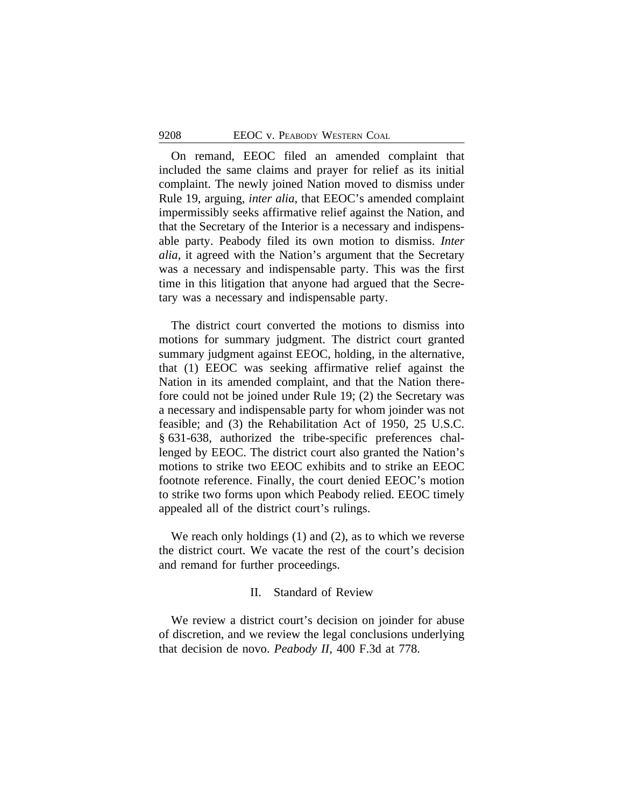On remand, EEOC filed an amended complaint that included the same claims and prayer for relief as its initial complaint. The newly joined Nation moved to dismiss under Rule 19, arguing, *inter alia*, that EEOC's amended complaint impermissibly seeks affirmative relief against the Nation, and that the Secretary of the Interior is a necessary and indispensable party. Peabody filed its own motion to dismiss. *Inter alia*, it agreed with the Nation's argument that the Secretary was a necessary and indispensable party. This was the first time in this litigation that anyone had argued that the Secretary was a necessary and indispensable party.

The district court converted the motions to dismiss into motions for summary judgment. The district court granted summary judgment against EEOC, holding, in the alternative, that (1) EEOC was seeking affirmative relief against the Nation in its amended complaint, and that the Nation therefore could not be joined under Rule 19; (2) the Secretary was a necessary and indispensable party for whom joinder was not feasible; and (3) the Rehabilitation Act of 1950, 25 U.S.C. § 631-638, authorized the tribe-specific preferences challenged by EEOC. The district court also granted the Nation's motions to strike two EEOC exhibits and to strike an EEOC footnote reference. Finally, the court denied EEOC's motion to strike two forms upon which Peabody relied. EEOC timely appealed all of the district court's rulings.

We reach only holdings (1) and (2), as to which we reverse the district court. We vacate the rest of the court's decision and remand for further proceedings.

# II. Standard of Review

We review a district court's decision on joinder for abuse of discretion, and we review the legal conclusions underlying that decision de novo. *Peabody II*, 400 F.3d at 778.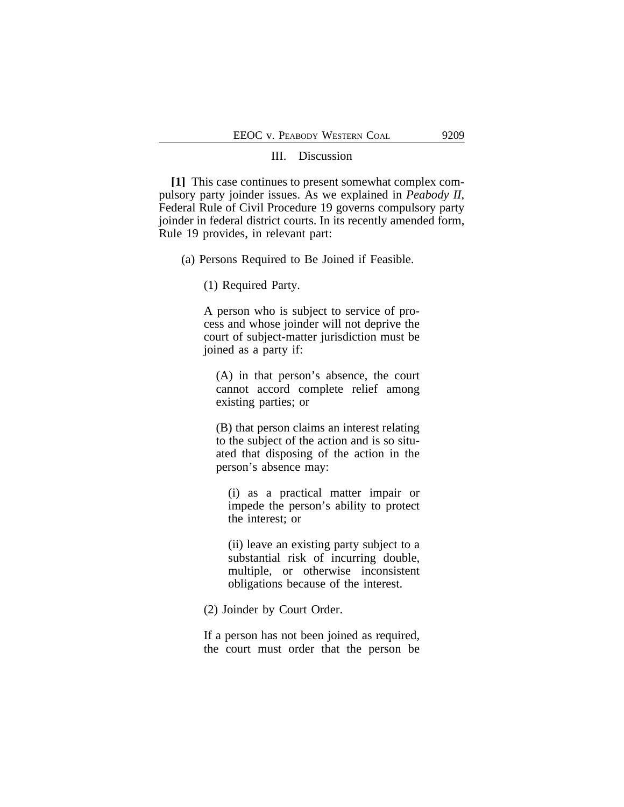#### III. Discussion

**[1]** This case continues to present somewhat complex compulsory party joinder issues. As we explained in *Peabody II*, Federal Rule of Civil Procedure 19 governs compulsory party joinder in federal district courts. In its recently amended form, Rule 19 provides, in relevant part:

(a) Persons Required to Be Joined if Feasible.

(1) Required Party.

A person who is subject to service of process and whose joinder will not deprive the court of subject-matter jurisdiction must be joined as a party if:

(A) in that person's absence, the court cannot accord complete relief among existing parties; or

(B) that person claims an interest relating to the subject of the action and is so situated that disposing of the action in the person's absence may:

(i) as a practical matter impair or impede the person's ability to protect the interest; or

(ii) leave an existing party subject to a substantial risk of incurring double, multiple, or otherwise inconsistent obligations because of the interest.

(2) Joinder by Court Order.

If a person has not been joined as required, the court must order that the person be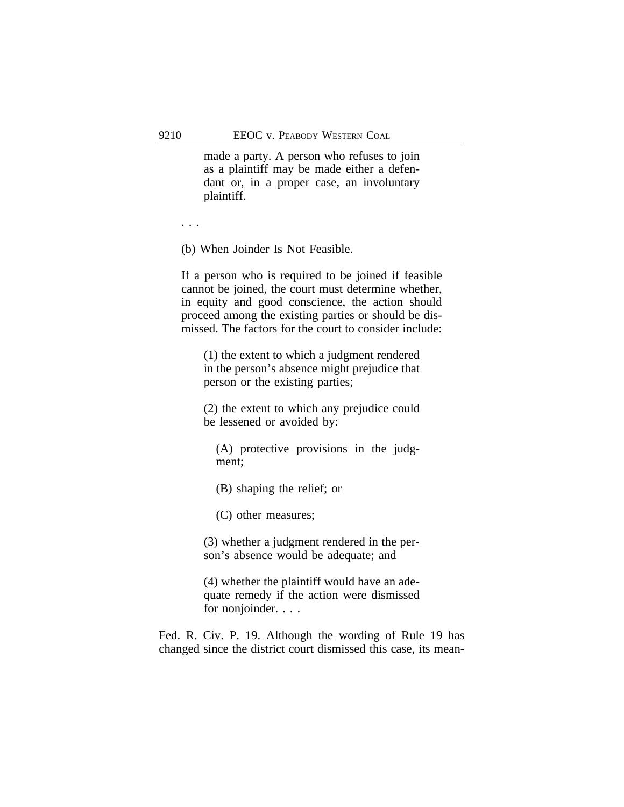made a party. A person who refuses to join as a plaintiff may be made either a defendant or, in a proper case, an involuntary plaintiff.

. . .

(b) When Joinder Is Not Feasible.

If a person who is required to be joined if feasible cannot be joined, the court must determine whether, in equity and good conscience, the action should proceed among the existing parties or should be dismissed. The factors for the court to consider include:

(1) the extent to which a judgment rendered in the person's absence might prejudice that person or the existing parties;

(2) the extent to which any prejudice could be lessened or avoided by:

(A) protective provisions in the judgment;

(B) shaping the relief; or

(C) other measures;

(3) whether a judgment rendered in the person's absence would be adequate; and

(4) whether the plaintiff would have an adequate remedy if the action were dismissed for nonjoinder. . . .

Fed. R. Civ. P. 19. Although the wording of Rule 19 has changed since the district court dismissed this case, its mean-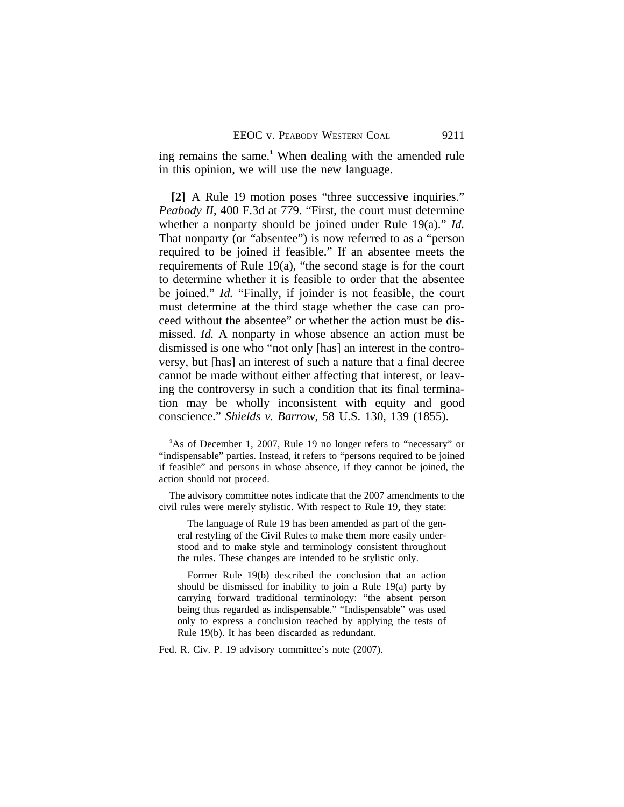ing remains the same.**<sup>1</sup>** When dealing with the amended rule in this opinion, we will use the new language.

**[2]** A Rule 19 motion poses "three successive inquiries." *Peabody II*, 400 F.3d at 779. "First, the court must determine whether a nonparty should be joined under Rule 19(a)." *Id.* That nonparty (or "absentee") is now referred to as a "person required to be joined if feasible." If an absentee meets the requirements of Rule 19(a), "the second stage is for the court to determine whether it is feasible to order that the absentee be joined." *Id.* "Finally, if joinder is not feasible, the court must determine at the third stage whether the case can proceed without the absentee" or whether the action must be dismissed. *Id.* A nonparty in whose absence an action must be dismissed is one who "not only [has] an interest in the controversy, but [has] an interest of such a nature that a final decree cannot be made without either affecting that interest, or leaving the controversy in such a condition that its final termination may be wholly inconsistent with equity and good conscience." *Shields v. Barrow*, 58 U.S. 130, 139 (1855).

The language of Rule 19 has been amended as part of the general restyling of the Civil Rules to make them more easily understood and to make style and terminology consistent throughout the rules. These changes are intended to be stylistic only.

Former Rule 19(b) described the conclusion that an action should be dismissed for inability to join a Rule 19(a) party by carrying forward traditional terminology: "the absent person being thus regarded as indispensable." "Indispensable" was used only to express a conclusion reached by applying the tests of Rule 19(b). It has been discarded as redundant.

Fed. R. Civ. P. 19 advisory committee's note (2007).

**<sup>1</sup>**As of December 1, 2007, Rule 19 no longer refers to "necessary" or "indispensable" parties. Instead, it refers to "persons required to be joined if feasible" and persons in whose absence, if they cannot be joined, the action should not proceed.

The advisory committee notes indicate that the 2007 amendments to the civil rules were merely stylistic. With respect to Rule 19, they state: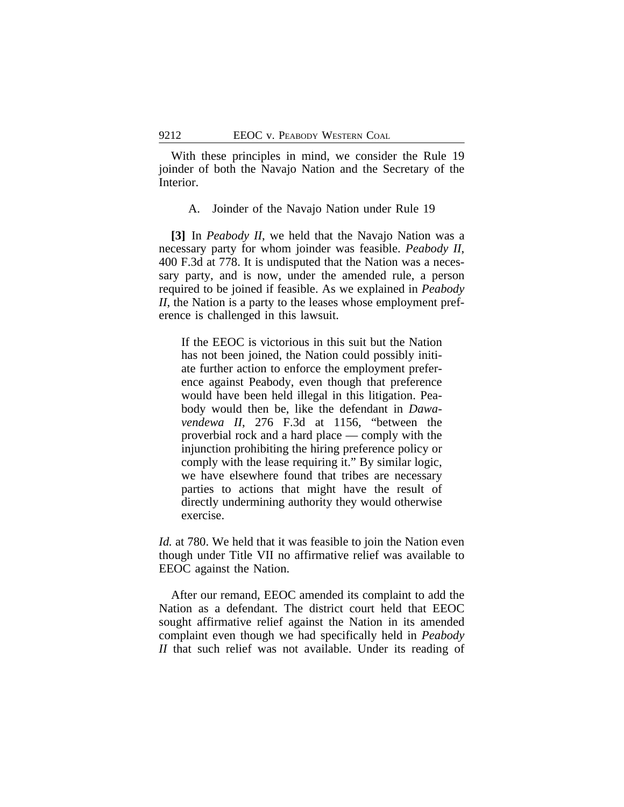With these principles in mind, we consider the Rule 19 joinder of both the Navajo Nation and the Secretary of the Interior.

A. Joinder of the Navajo Nation under Rule 19

**[3]** In *Peabody II*, we held that the Navajo Nation was a necessary party for whom joinder was feasible. *Peabody II*, 400 F.3d at 778. It is undisputed that the Nation was a necessary party, and is now, under the amended rule, a person required to be joined if feasible. As we explained in *Peabody II*, the Nation is a party to the leases whose employment preference is challenged in this lawsuit.

If the EEOC is victorious in this suit but the Nation has not been joined, the Nation could possibly initiate further action to enforce the employment preference against Peabody, even though that preference would have been held illegal in this litigation. Peabody would then be, like the defendant in *Dawavendewa II*, 276 F.3d at 1156, "between the proverbial rock and a hard place — comply with the injunction prohibiting the hiring preference policy or comply with the lease requiring it." By similar logic, we have elsewhere found that tribes are necessary parties to actions that might have the result of directly undermining authority they would otherwise exercise.

*Id.* at 780. We held that it was feasible to join the Nation even though under Title VII no affirmative relief was available to EEOC against the Nation.

After our remand, EEOC amended its complaint to add the Nation as a defendant. The district court held that EEOC sought affirmative relief against the Nation in its amended complaint even though we had specifically held in *Peabody II* that such relief was not available. Under its reading of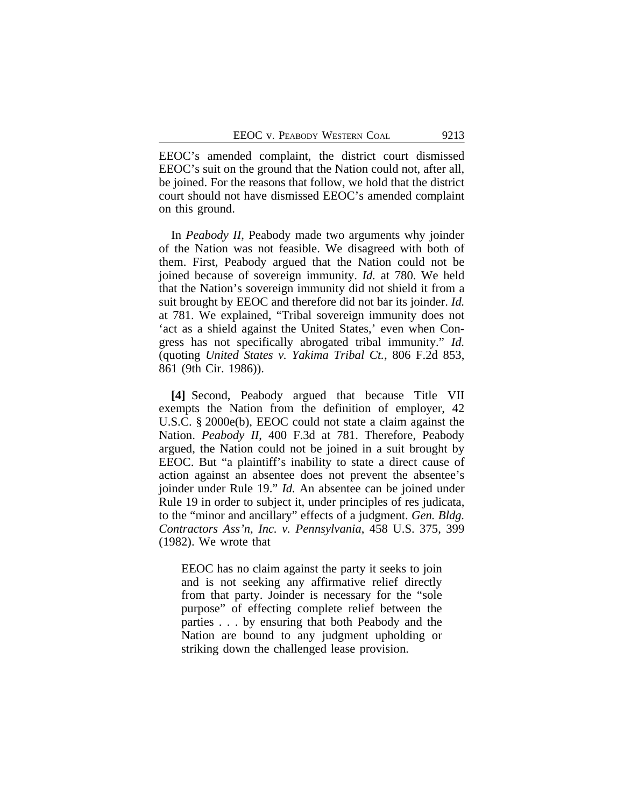EEOC's amended complaint, the district court dismissed EEOC's suit on the ground that the Nation could not, after all, be joined. For the reasons that follow, we hold that the district court should not have dismissed EEOC's amended complaint on this ground.

In *Peabody II*, Peabody made two arguments why joinder of the Nation was not feasible. We disagreed with both of them. First, Peabody argued that the Nation could not be joined because of sovereign immunity. *Id.* at 780. We held that the Nation's sovereign immunity did not shield it from a suit brought by EEOC and therefore did not bar its joinder. *Id.* at 781. We explained, "Tribal sovereign immunity does not 'act as a shield against the United States,' even when Congress has not specifically abrogated tribal immunity." *Id.* (quoting *United States v. Yakima Tribal Ct.*, 806 F.2d 853, 861 (9th Cir. 1986)).

**[4]** Second, Peabody argued that because Title VII exempts the Nation from the definition of employer, 42 U.S.C. § 2000e(b), EEOC could not state a claim against the Nation. *Peabody II*, 400 F.3d at 781. Therefore, Peabody argued, the Nation could not be joined in a suit brought by EEOC. But "a plaintiff's inability to state a direct cause of action against an absentee does not prevent the absentee's joinder under Rule 19." *Id.* An absentee can be joined under Rule 19 in order to subject it, under principles of res judicata, to the "minor and ancillary" effects of a judgment. *Gen. Bldg. Contractors Ass'n, Inc. v. Pennsylvania*, 458 U.S. 375, 399 (1982). We wrote that

EEOC has no claim against the party it seeks to join and is not seeking any affirmative relief directly from that party. Joinder is necessary for the "sole purpose" of effecting complete relief between the parties . . . by ensuring that both Peabody and the Nation are bound to any judgment upholding or striking down the challenged lease provision.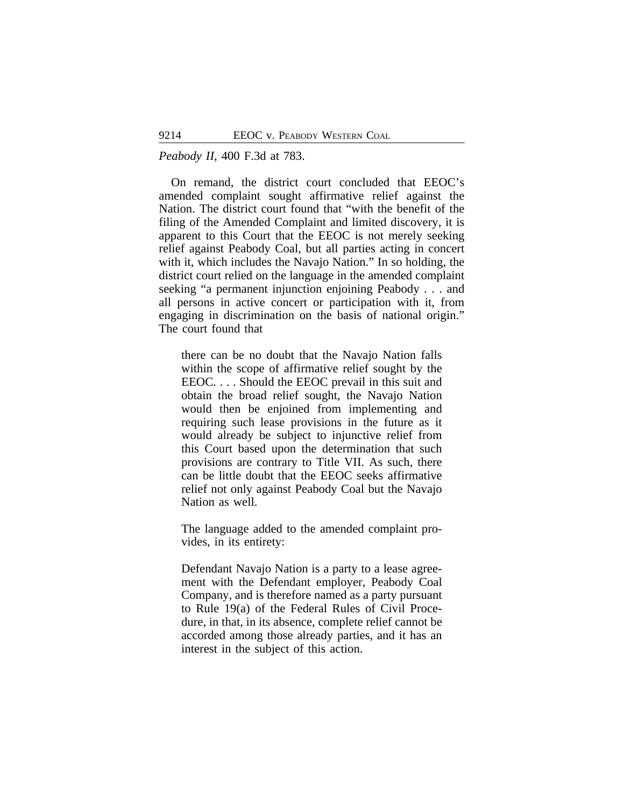# *Peabody II*, 400 F.3d at 783.

On remand, the district court concluded that EEOC's amended complaint sought affirmative relief against the Nation. The district court found that "with the benefit of the filing of the Amended Complaint and limited discovery, it is apparent to this Court that the EEOC is not merely seeking relief against Peabody Coal, but all parties acting in concert with it, which includes the Navajo Nation." In so holding, the district court relied on the language in the amended complaint seeking "a permanent injunction enjoining Peabody . . . and all persons in active concert or participation with it, from engaging in discrimination on the basis of national origin." The court found that

there can be no doubt that the Navajo Nation falls within the scope of affirmative relief sought by the EEOC. . . . Should the EEOC prevail in this suit and obtain the broad relief sought, the Navajo Nation would then be enjoined from implementing and requiring such lease provisions in the future as it would already be subject to injunctive relief from this Court based upon the determination that such provisions are contrary to Title VII. As such, there can be little doubt that the EEOC seeks affirmative relief not only against Peabody Coal but the Navajo Nation as well.

The language added to the amended complaint provides, in its entirety:

Defendant Navajo Nation is a party to a lease agreement with the Defendant employer, Peabody Coal Company, and is therefore named as a party pursuant to Rule 19(a) of the Federal Rules of Civil Procedure, in that, in its absence, complete relief cannot be accorded among those already parties, and it has an interest in the subject of this action.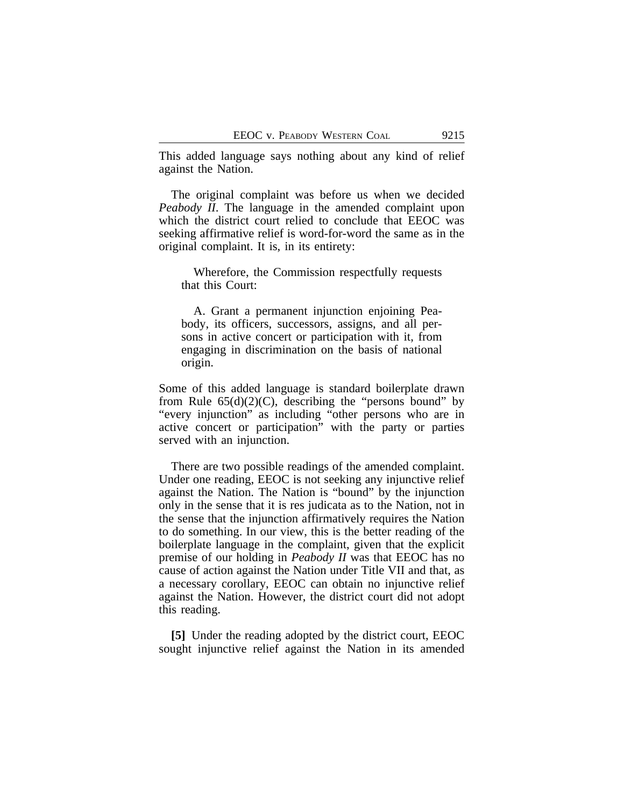This added language says nothing about any kind of relief against the Nation.

The original complaint was before us when we decided *Peabody II*. The language in the amended complaint upon which the district court relied to conclude that EEOC was seeking affirmative relief is word-for-word the same as in the original complaint. It is, in its entirety:

Wherefore, the Commission respectfully requests that this Court:

A. Grant a permanent injunction enjoining Peabody, its officers, successors, assigns, and all persons in active concert or participation with it, from engaging in discrimination on the basis of national origin.

Some of this added language is standard boilerplate drawn from Rule  $65(d)(2)(C)$ , describing the "persons bound" by "every injunction" as including "other persons who are in active concert or participation" with the party or parties served with an injunction.

There are two possible readings of the amended complaint. Under one reading, EEOC is not seeking any injunctive relief against the Nation. The Nation is "bound" by the injunction only in the sense that it is res judicata as to the Nation, not in the sense that the injunction affirmatively requires the Nation to do something. In our view, this is the better reading of the boilerplate language in the complaint, given that the explicit premise of our holding in *Peabody II* was that EEOC has no cause of action against the Nation under Title VII and that, as a necessary corollary, EEOC can obtain no injunctive relief against the Nation. However, the district court did not adopt this reading.

**[5]** Under the reading adopted by the district court, EEOC sought injunctive relief against the Nation in its amended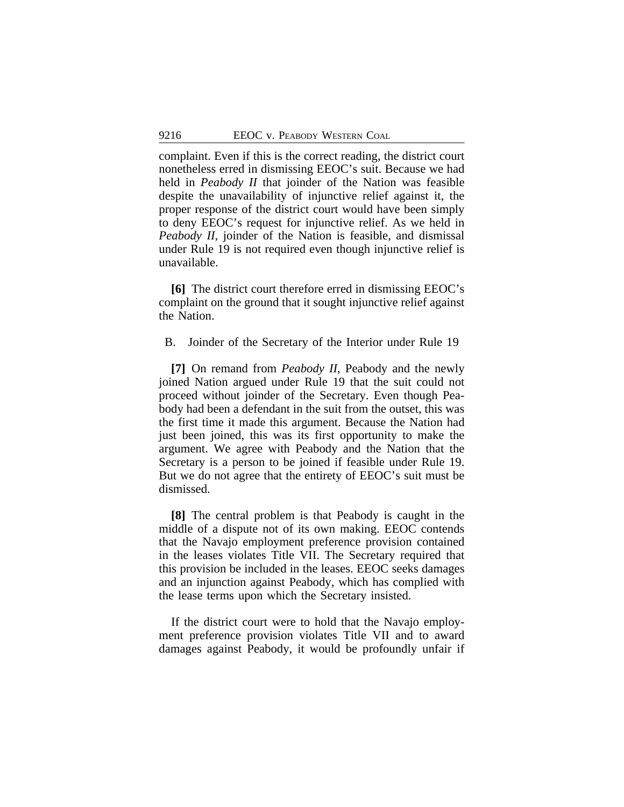complaint. Even if this is the correct reading, the district court nonetheless erred in dismissing EEOC's suit. Because we had held in *Peabody II* that joinder of the Nation was feasible despite the unavailability of injunctive relief against it, the proper response of the district court would have been simply to deny EEOC's request for injunctive relief. As we held in *Peabody II*, joinder of the Nation is feasible, and dismissal under Rule 19 is not required even though injunctive relief is unavailable.

**[6]** The district court therefore erred in dismissing EEOC's complaint on the ground that it sought injunctive relief against the Nation.

B. Joinder of the Secretary of the Interior under Rule 19

**[7]** On remand from *Peabody II*, Peabody and the newly joined Nation argued under Rule 19 that the suit could not proceed without joinder of the Secretary. Even though Peabody had been a defendant in the suit from the outset, this was the first time it made this argument. Because the Nation had just been joined, this was its first opportunity to make the argument. We agree with Peabody and the Nation that the Secretary is a person to be joined if feasible under Rule 19. But we do not agree that the entirety of EEOC's suit must be dismissed.

**[8]** The central problem is that Peabody is caught in the middle of a dispute not of its own making. EEOC contends that the Navajo employment preference provision contained in the leases violates Title VII. The Secretary required that this provision be included in the leases. EEOC seeks damages and an injunction against Peabody, which has complied with the lease terms upon which the Secretary insisted.

If the district court were to hold that the Navajo employment preference provision violates Title VII and to award damages against Peabody, it would be profoundly unfair if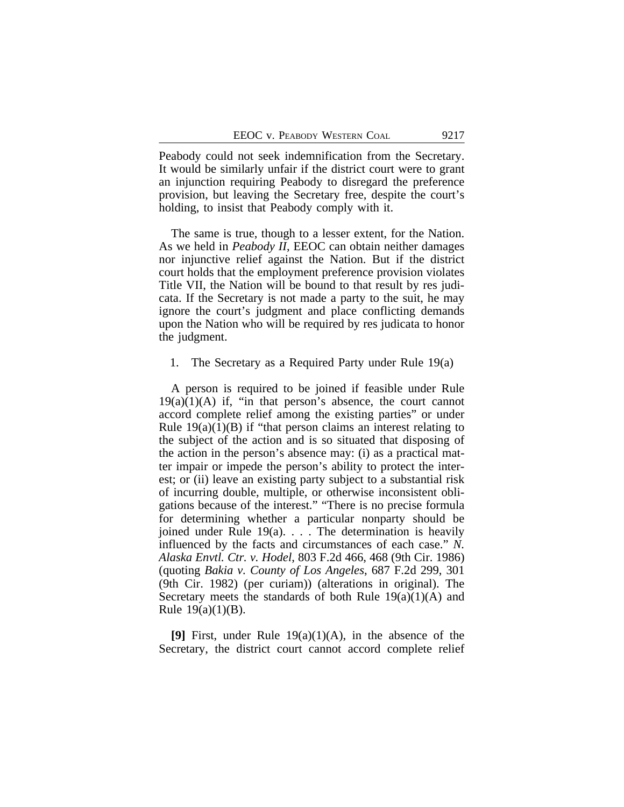Peabody could not seek indemnification from the Secretary. It would be similarly unfair if the district court were to grant an injunction requiring Peabody to disregard the preference provision, but leaving the Secretary free, despite the court's holding, to insist that Peabody comply with it.

The same is true, though to a lesser extent, for the Nation. As we held in *Peabody II*, EEOC can obtain neither damages nor injunctive relief against the Nation. But if the district court holds that the employment preference provision violates Title VII, the Nation will be bound to that result by res judicata. If the Secretary is not made a party to the suit, he may ignore the court's judgment and place conflicting demands upon the Nation who will be required by res judicata to honor the judgment.

1. The Secretary as a Required Party under Rule 19(a)

A person is required to be joined if feasible under Rule  $19(a)(1)(A)$  if, "in that person's absence, the court cannot accord complete relief among the existing parties" or under Rule  $19(a)(1)(B)$  if "that person claims an interest relating to the subject of the action and is so situated that disposing of the action in the person's absence may: (i) as a practical matter impair or impede the person's ability to protect the interest; or (ii) leave an existing party subject to a substantial risk of incurring double, multiple, or otherwise inconsistent obligations because of the interest." "There is no precise formula for determining whether a particular nonparty should be joined under Rule 19(a). . . . The determination is heavily influenced by the facts and circumstances of each case." *N. Alaska Envtl. Ctr. v. Hodel*, 803 F.2d 466, 468 (9th Cir. 1986) (quoting *Bakia v. County of Los Angeles*, 687 F.2d 299, 301 (9th Cir. 1982) (per curiam)) (alterations in original). The Secretary meets the standards of both Rule  $19(a)(1)(A)$  and Rule 19(a)(1)(B).

**[9]** First, under Rule 19(a)(1)(A), in the absence of the Secretary, the district court cannot accord complete relief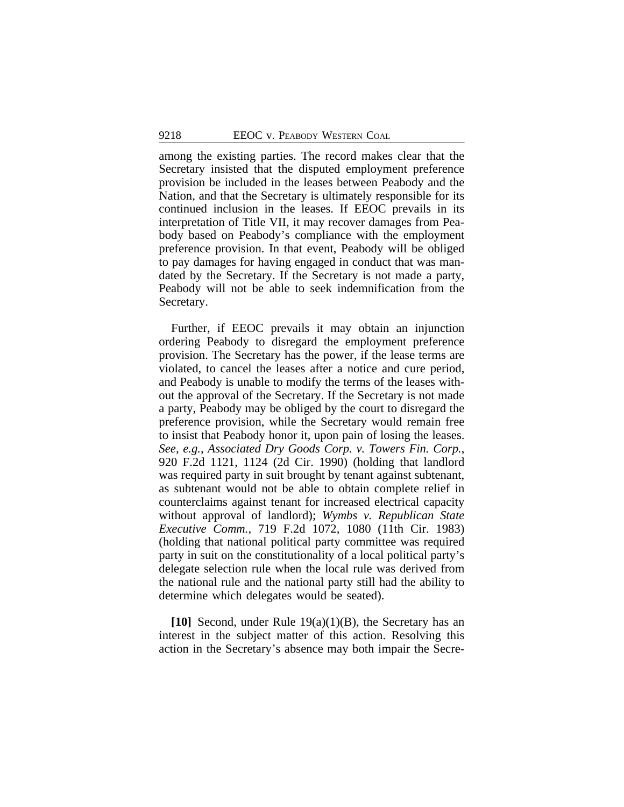among the existing parties. The record makes clear that the Secretary insisted that the disputed employment preference provision be included in the leases between Peabody and the Nation, and that the Secretary is ultimately responsible for its continued inclusion in the leases. If EEOC prevails in its interpretation of Title VII, it may recover damages from Peabody based on Peabody's compliance with the employment preference provision. In that event, Peabody will be obliged to pay damages for having engaged in conduct that was mandated by the Secretary. If the Secretary is not made a party, Peabody will not be able to seek indemnification from the Secretary.

Further, if EEOC prevails it may obtain an injunction ordering Peabody to disregard the employment preference provision. The Secretary has the power, if the lease terms are violated, to cancel the leases after a notice and cure period, and Peabody is unable to modify the terms of the leases without the approval of the Secretary. If the Secretary is not made a party, Peabody may be obliged by the court to disregard the preference provision, while the Secretary would remain free to insist that Peabody honor it, upon pain of losing the leases. *See, e.g.*, *Associated Dry Goods Corp. v. Towers Fin. Corp.*, 920 F.2d 1121, 1124 (2d Cir. 1990) (holding that landlord was required party in suit brought by tenant against subtenant, as subtenant would not be able to obtain complete relief in counterclaims against tenant for increased electrical capacity without approval of landlord); *Wymbs v. Republican State Executive Comm.*, 719 F.2d 1072, 1080 (11th Cir. 1983) (holding that national political party committee was required party in suit on the constitutionality of a local political party's delegate selection rule when the local rule was derived from the national rule and the national party still had the ability to determine which delegates would be seated).

**[10]** Second, under Rule 19(a)(1)(B), the Secretary has an interest in the subject matter of this action. Resolving this action in the Secretary's absence may both impair the Secre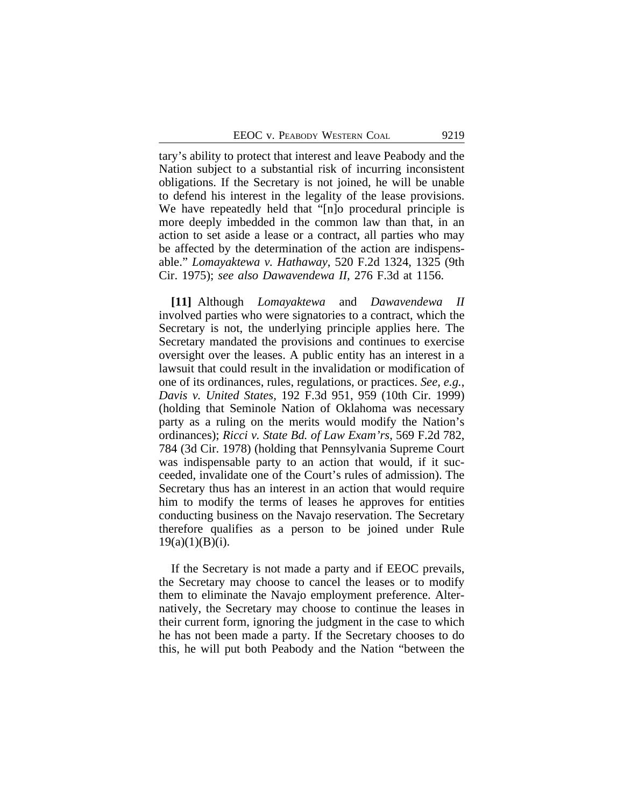tary's ability to protect that interest and leave Peabody and the Nation subject to a substantial risk of incurring inconsistent obligations. If the Secretary is not joined, he will be unable to defend his interest in the legality of the lease provisions. We have repeatedly held that "[n]o procedural principle is more deeply imbedded in the common law than that, in an action to set aside a lease or a contract, all parties who may be affected by the determination of the action are indispensable." *Lomayaktewa v. Hathaway*, 520 F.2d 1324, 1325 (9th Cir. 1975); *see also Dawavendewa II*, 276 F.3d at 1156.

**[11]** Although *Lomayaktewa* and *Dawavendewa II* involved parties who were signatories to a contract, which the Secretary is not, the underlying principle applies here. The Secretary mandated the provisions and continues to exercise oversight over the leases. A public entity has an interest in a lawsuit that could result in the invalidation or modification of one of its ordinances, rules, regulations, or practices. *See, e.g.*, *Davis v. United States*, 192 F.3d 951, 959 (10th Cir. 1999) (holding that Seminole Nation of Oklahoma was necessary party as a ruling on the merits would modify the Nation's ordinances); *Ricci v. State Bd. of Law Exam'rs*, 569 F.2d 782, 784 (3d Cir. 1978) (holding that Pennsylvania Supreme Court was indispensable party to an action that would, if it succeeded, invalidate one of the Court's rules of admission). The Secretary thus has an interest in an action that would require him to modify the terms of leases he approves for entities conducting business on the Navajo reservation. The Secretary therefore qualifies as a person to be joined under Rule  $19(a)(1)(B)(i)$ .

If the Secretary is not made a party and if EEOC prevails, the Secretary may choose to cancel the leases or to modify them to eliminate the Navajo employment preference. Alternatively, the Secretary may choose to continue the leases in their current form, ignoring the judgment in the case to which he has not been made a party. If the Secretary chooses to do this, he will put both Peabody and the Nation "between the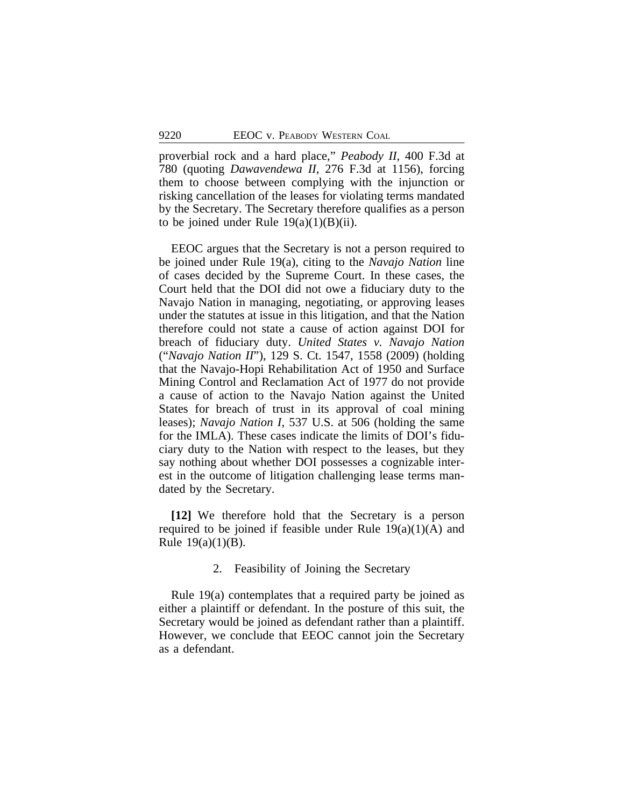proverbial rock and a hard place," *Peabody II*, 400 F.3d at 780 (quoting *Dawavendewa II*, 276 F.3d at 1156), forcing them to choose between complying with the injunction or risking cancellation of the leases for violating terms mandated by the Secretary. The Secretary therefore qualifies as a person to be joined under Rule  $19(a)(1)(B)(ii)$ .

EEOC argues that the Secretary is not a person required to be joined under Rule 19(a), citing to the *Navajo Nation* line of cases decided by the Supreme Court. In these cases, the Court held that the DOI did not owe a fiduciary duty to the Navajo Nation in managing, negotiating, or approving leases under the statutes at issue in this litigation, and that the Nation therefore could not state a cause of action against DOI for breach of fiduciary duty. *United States v. Navajo Nation* ("*Navajo Nation II*"), 129 S. Ct. 1547, 1558 (2009) (holding that the Navajo-Hopi Rehabilitation Act of 1950 and Surface Mining Control and Reclamation Act of 1977 do not provide a cause of action to the Navajo Nation against the United States for breach of trust in its approval of coal mining leases); *Navajo Nation I*, 537 U.S. at 506 (holding the same for the IMLA). These cases indicate the limits of DOI's fiduciary duty to the Nation with respect to the leases, but they say nothing about whether DOI possesses a cognizable interest in the outcome of litigation challenging lease terms mandated by the Secretary.

**[12]** We therefore hold that the Secretary is a person required to be joined if feasible under Rule  $19(a)(1)(A)$  and Rule 19(a)(1)(B).

2. Feasibility of Joining the Secretary

Rule 19(a) contemplates that a required party be joined as either a plaintiff or defendant. In the posture of this suit, the Secretary would be joined as defendant rather than a plaintiff. However, we conclude that EEOC cannot join the Secretary as a defendant.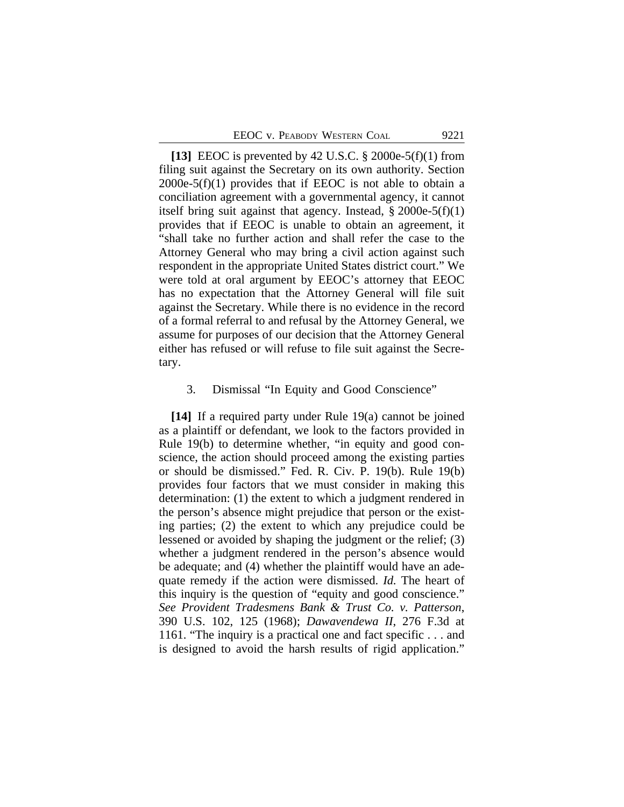**[13]** EEOC is prevented by 42 U.S.C. § 2000e-5(f)(1) from filing suit against the Secretary on its own authority. Section  $2000e-5(f)(1)$  provides that if EEOC is not able to obtain a conciliation agreement with a governmental agency, it cannot itself bring suit against that agency. Instead,  $\S 2000e-5(f)(1)$ provides that if EEOC is unable to obtain an agreement, it "shall take no further action and shall refer the case to the Attorney General who may bring a civil action against such respondent in the appropriate United States district court." We were told at oral argument by EEOC's attorney that EEOC has no expectation that the Attorney General will file suit against the Secretary. While there is no evidence in the record of a formal referral to and refusal by the Attorney General, we assume for purposes of our decision that the Attorney General either has refused or will refuse to file suit against the Secretary.

# 3. Dismissal "In Equity and Good Conscience"

**[14]** If a required party under Rule 19(a) cannot be joined as a plaintiff or defendant, we look to the factors provided in Rule 19(b) to determine whether, "in equity and good conscience, the action should proceed among the existing parties or should be dismissed." Fed. R. Civ. P. 19(b). Rule 19(b) provides four factors that we must consider in making this determination: (1) the extent to which a judgment rendered in the person's absence might prejudice that person or the existing parties; (2) the extent to which any prejudice could be lessened or avoided by shaping the judgment or the relief; (3) whether a judgment rendered in the person's absence would be adequate; and (4) whether the plaintiff would have an adequate remedy if the action were dismissed. *Id.* The heart of this inquiry is the question of "equity and good conscience." *See Provident Tradesmens Bank & Trust Co. v. Patterson*, 390 U.S. 102, 125 (1968); *Dawavendewa II*, 276 F.3d at 1161. "The inquiry is a practical one and fact specific . . . and is designed to avoid the harsh results of rigid application."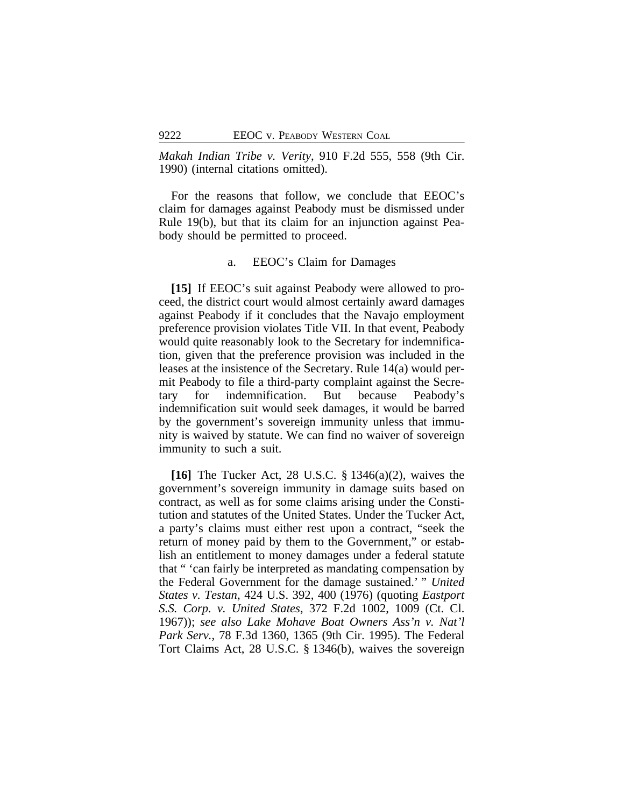*Makah Indian Tribe v. Verity*, 910 F.2d 555, 558 (9th Cir. 1990) (internal citations omitted).

For the reasons that follow, we conclude that EEOC's claim for damages against Peabody must be dismissed under Rule 19(b), but that its claim for an injunction against Peabody should be permitted to proceed.

## a. EEOC's Claim for Damages

**[15]** If EEOC's suit against Peabody were allowed to proceed, the district court would almost certainly award damages against Peabody if it concludes that the Navajo employment preference provision violates Title VII. In that event, Peabody would quite reasonably look to the Secretary for indemnification, given that the preference provision was included in the leases at the insistence of the Secretary. Rule 14(a) would permit Peabody to file a third-party complaint against the Secretary for indemnification. But because Peabody's indemnification suit would seek damages, it would be barred by the government's sovereign immunity unless that immunity is waived by statute. We can find no waiver of sovereign immunity to such a suit.

**[16]** The Tucker Act, 28 U.S.C. § 1346(a)(2), waives the government's sovereign immunity in damage suits based on contract, as well as for some claims arising under the Constitution and statutes of the United States. Under the Tucker Act, a party's claims must either rest upon a contract, "seek the return of money paid by them to the Government," or establish an entitlement to money damages under a federal statute that " 'can fairly be interpreted as mandating compensation by the Federal Government for the damage sustained.' " *United States v. Testan*, 424 U.S. 392, 400 (1976) (quoting *Eastport S.S. Corp. v. United States*, 372 F.2d 1002, 1009 (Ct. Cl. 1967)); *see also Lake Mohave Boat Owners Ass'n v. Nat'l Park Serv.*, 78 F.3d 1360, 1365 (9th Cir. 1995). The Federal Tort Claims Act, 28 U.S.C. § 1346(b), waives the sovereign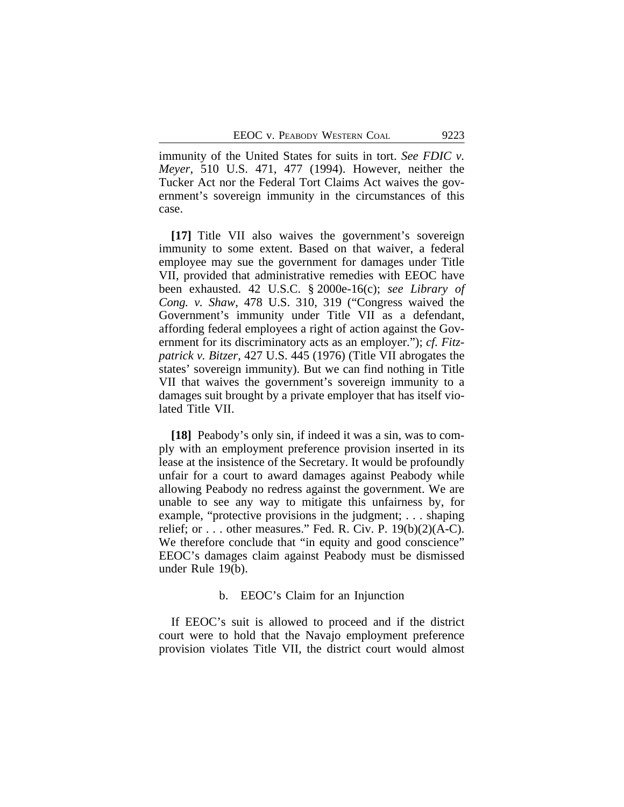immunity of the United States for suits in tort. *See FDIC v. Meyer*, 510 U.S. 471, 477 (1994). However, neither the Tucker Act nor the Federal Tort Claims Act waives the government's sovereign immunity in the circumstances of this case.

**[17]** Title VII also waives the government's sovereign immunity to some extent. Based on that waiver, a federal employee may sue the government for damages under Title VII, provided that administrative remedies with EEOC have been exhausted. 42 U.S.C. § 2000e-16(c); *see Library of Cong. v. Shaw*, 478 U.S. 310, 319 ("Congress waived the Government's immunity under Title VII as a defendant, affording federal employees a right of action against the Government for its discriminatory acts as an employer."); *cf. Fitzpatrick v. Bitzer*, 427 U.S. 445 (1976) (Title VII abrogates the states' sovereign immunity). But we can find nothing in Title VII that waives the government's sovereign immunity to a damages suit brought by a private employer that has itself violated Title VII.

**[18]** Peabody's only sin, if indeed it was a sin, was to comply with an employment preference provision inserted in its lease at the insistence of the Secretary. It would be profoundly unfair for a court to award damages against Peabody while allowing Peabody no redress against the government. We are unable to see any way to mitigate this unfairness by, for example, "protective provisions in the judgment; . . . shaping relief; or  $\ldots$  other measures." Fed. R. Civ. P. 19(b)(2)(A-C). We therefore conclude that "in equity and good conscience" EEOC's damages claim against Peabody must be dismissed under Rule 19(b).

#### b. EEOC's Claim for an Injunction

If EEOC's suit is allowed to proceed and if the district court were to hold that the Navajo employment preference provision violates Title VII, the district court would almost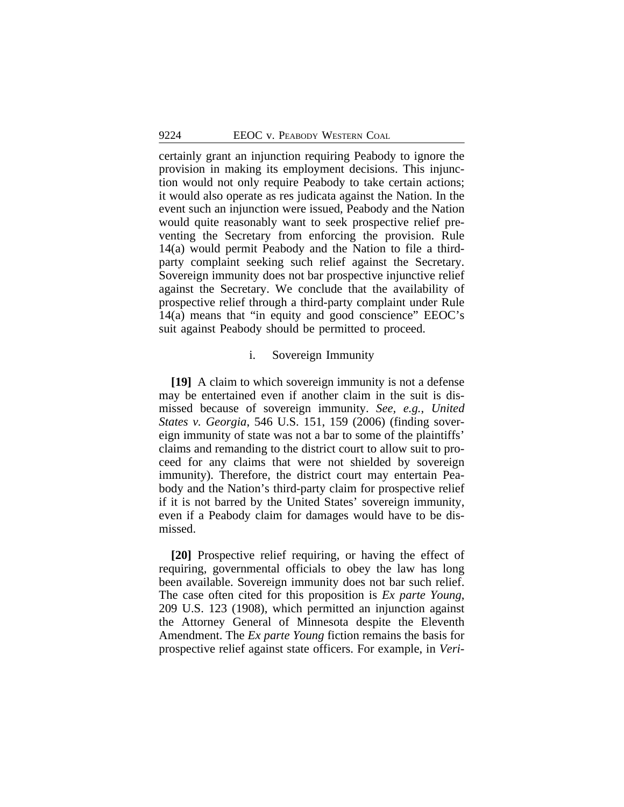certainly grant an injunction requiring Peabody to ignore the provision in making its employment decisions. This injunction would not only require Peabody to take certain actions; it would also operate as res judicata against the Nation. In the event such an injunction were issued, Peabody and the Nation would quite reasonably want to seek prospective relief preventing the Secretary from enforcing the provision. Rule 14(a) would permit Peabody and the Nation to file a thirdparty complaint seeking such relief against the Secretary. Sovereign immunity does not bar prospective injunctive relief against the Secretary. We conclude that the availability of prospective relief through a third-party complaint under Rule 14(a) means that "in equity and good conscience" EEOC's suit against Peabody should be permitted to proceed.

# i. Sovereign Immunity

**[19]** A claim to which sovereign immunity is not a defense may be entertained even if another claim in the suit is dismissed because of sovereign immunity. *See, e.g.*, *United States v. Georgia*, 546 U.S. 151, 159 (2006) (finding sovereign immunity of state was not a bar to some of the plaintiffs' claims and remanding to the district court to allow suit to proceed for any claims that were not shielded by sovereign immunity). Therefore, the district court may entertain Peabody and the Nation's third-party claim for prospective relief if it is not barred by the United States' sovereign immunity, even if a Peabody claim for damages would have to be dismissed.

**[20]** Prospective relief requiring, or having the effect of requiring, governmental officials to obey the law has long been available. Sovereign immunity does not bar such relief. The case often cited for this proposition is *Ex parte Young*, 209 U.S. 123 (1908), which permitted an injunction against the Attorney General of Minnesota despite the Eleventh Amendment. The *Ex parte Young* fiction remains the basis for prospective relief against state officers. For example, in *Veri-*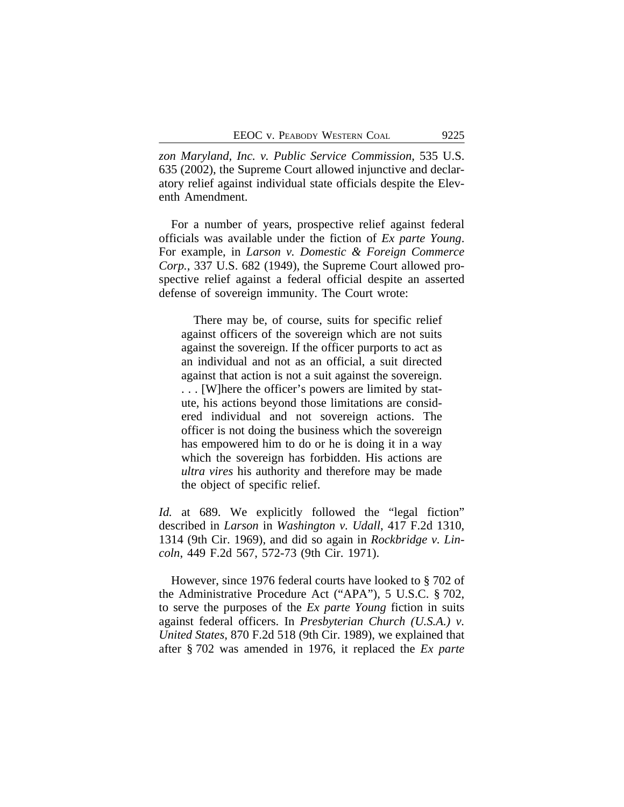*zon Maryland, Inc. v. Public Service Commission*, 535 U.S. 635 (2002), the Supreme Court allowed injunctive and declaratory relief against individual state officials despite the Eleventh Amendment.

For a number of years, prospective relief against federal officials was available under the fiction of *Ex parte Young*. For example, in *Larson v. Domestic & Foreign Commerce Corp.*, 337 U.S. 682 (1949), the Supreme Court allowed prospective relief against a federal official despite an asserted defense of sovereign immunity. The Court wrote:

There may be, of course, suits for specific relief against officers of the sovereign which are not suits against the sovereign. If the officer purports to act as an individual and not as an official, a suit directed against that action is not a suit against the sovereign. . . . [W]here the officer's powers are limited by statute, his actions beyond those limitations are considered individual and not sovereign actions. The officer is not doing the business which the sovereign has empowered him to do or he is doing it in a way which the sovereign has forbidden. His actions are *ultra vires* his authority and therefore may be made the object of specific relief.

*Id.* at 689. We explicitly followed the "legal fiction" described in *Larson* in *Washington v. Udall*, 417 F.2d 1310, 1314 (9th Cir. 1969), and did so again in *Rockbridge v. Lincoln*, 449 F.2d 567, 572-73 (9th Cir. 1971).

However, since 1976 federal courts have looked to § 702 of the Administrative Procedure Act ("APA"), 5 U.S.C. § 702, to serve the purposes of the *Ex parte Young* fiction in suits against federal officers. In *Presbyterian Church (U.S.A.) v. United States*, 870 F.2d 518 (9th Cir. 1989), we explained that after § 702 was amended in 1976, it replaced the *Ex parte*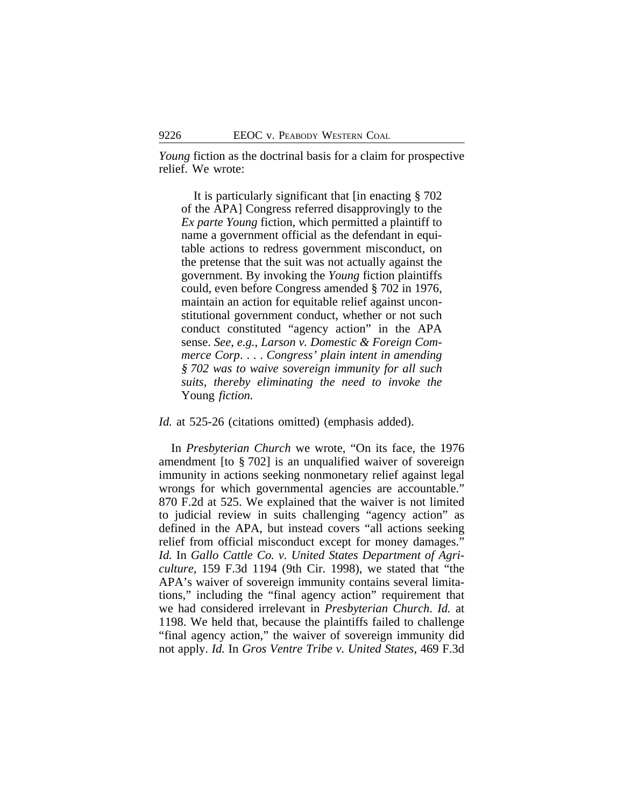*Young* fiction as the doctrinal basis for a claim for prospective relief. We wrote:

It is particularly significant that [in enacting § 702 of the APA] Congress referred disapprovingly to the *Ex parte Young* fiction, which permitted a plaintiff to name a government official as the defendant in equitable actions to redress government misconduct, on the pretense that the suit was not actually against the government. By invoking the *Young* fiction plaintiffs could, even before Congress amended § 702 in 1976, maintain an action for equitable relief against unconstitutional government conduct, whether or not such conduct constituted "agency action" in the APA sense. *See*, *e.g.*, *Larson v. Domestic & Foreign Commerce Corp*. . . . *Congress' plain intent in amending § 702 was to waive sovereign immunity for all such suits, thereby eliminating the need to invoke the* Young *fiction.*

*Id.* at 525-26 (citations omitted) (emphasis added).

In *Presbyterian Church* we wrote, "On its face, the 1976 amendment [to § 702] is an unqualified waiver of sovereign immunity in actions seeking nonmonetary relief against legal wrongs for which governmental agencies are accountable." 870 F.2d at 525. We explained that the waiver is not limited to judicial review in suits challenging "agency action" as defined in the APA, but instead covers "all actions seeking relief from official misconduct except for money damages." *Id.* In *Gallo Cattle Co. v. United States Department of Agriculture*, 159 F.3d 1194 (9th Cir. 1998), we stated that "the APA's waiver of sovereign immunity contains several limitations," including the "final agency action" requirement that we had considered irrelevant in *Presbyterian Church*. *Id.* at 1198. We held that, because the plaintiffs failed to challenge "final agency action," the waiver of sovereign immunity did not apply. *Id.* In *Gros Ventre Tribe v. United States*, 469 F.3d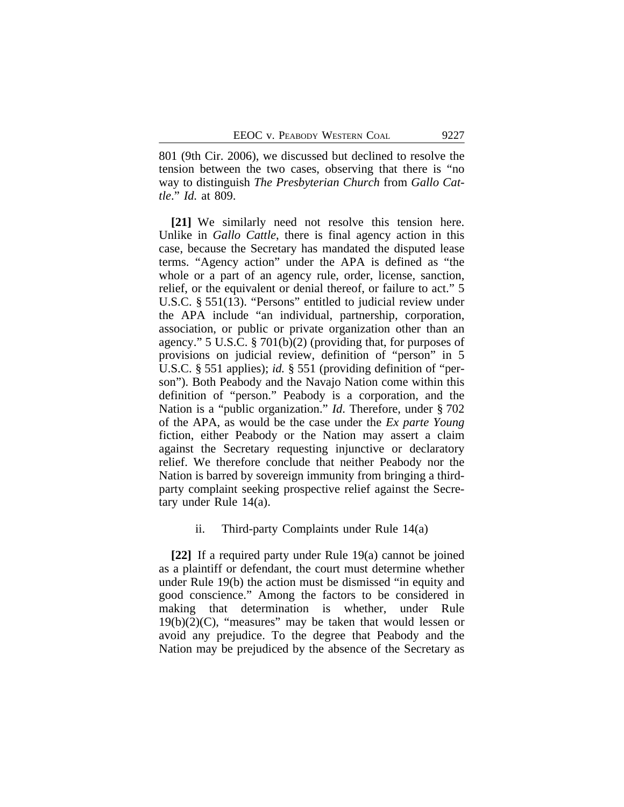801 (9th Cir. 2006), we discussed but declined to resolve the tension between the two cases, observing that there is "no way to distinguish *The Presbyterian Church* from *Gallo Cattle*." *Id.* at 809.

**[21]** We similarly need not resolve this tension here. Unlike in *Gallo Cattle*, there is final agency action in this case, because the Secretary has mandated the disputed lease terms. "Agency action" under the APA is defined as "the whole or a part of an agency rule, order, license, sanction, relief, or the equivalent or denial thereof, or failure to act." 5 U.S.C. § 551(13). "Persons" entitled to judicial review under the APA include "an individual, partnership, corporation, association, or public or private organization other than an agency." 5 U.S.C. § 701(b)(2) (providing that, for purposes of provisions on judicial review, definition of "person" in 5 U.S.C. § 551 applies); *id.* § 551 (providing definition of "person"). Both Peabody and the Navajo Nation come within this definition of "person." Peabody is a corporation, and the Nation is a "public organization." *Id*. Therefore, under § 702 of the APA, as would be the case under the *Ex parte Young* fiction, either Peabody or the Nation may assert a claim against the Secretary requesting injunctive or declaratory relief. We therefore conclude that neither Peabody nor the Nation is barred by sovereign immunity from bringing a thirdparty complaint seeking prospective relief against the Secretary under Rule 14(a).

# ii. Third-party Complaints under Rule 14(a)

**[22]** If a required party under Rule 19(a) cannot be joined as a plaintiff or defendant, the court must determine whether under Rule 19(b) the action must be dismissed "in equity and good conscience." Among the factors to be considered in making that determination is whether, under Rule  $19(b)(2)(C)$ , "measures" may be taken that would lessen or avoid any prejudice. To the degree that Peabody and the Nation may be prejudiced by the absence of the Secretary as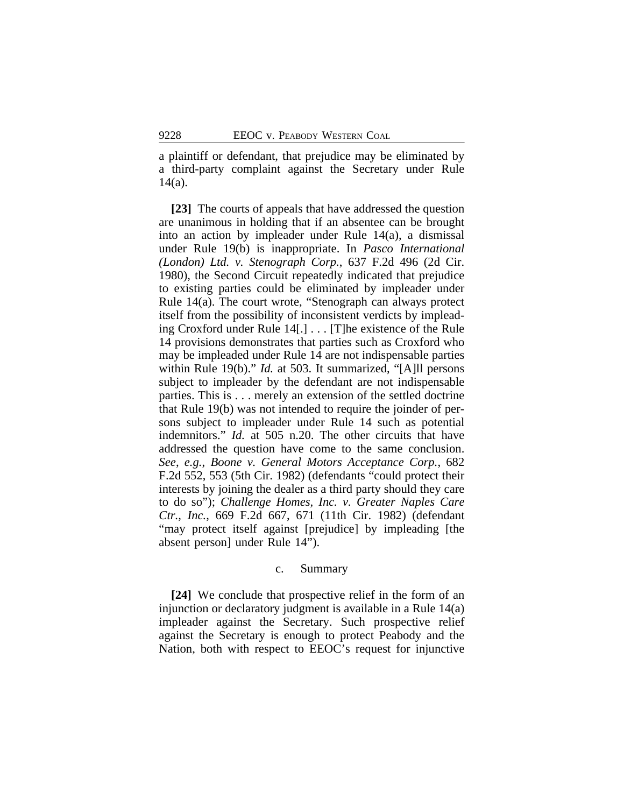a plaintiff or defendant, that prejudice may be eliminated by a third-party complaint against the Secretary under Rule 14(a).

**[23]** The courts of appeals that have addressed the question are unanimous in holding that if an absentee can be brought into an action by impleader under Rule 14(a), a dismissal under Rule 19(b) is inappropriate. In *Pasco International (London) Ltd. v. Stenograph Corp.*, 637 F.2d 496 (2d Cir. 1980), the Second Circuit repeatedly indicated that prejudice to existing parties could be eliminated by impleader under Rule 14(a). The court wrote, "Stenograph can always protect itself from the possibility of inconsistent verdicts by impleading Croxford under Rule 14[.] . . . [T]he existence of the Rule 14 provisions demonstrates that parties such as Croxford who may be impleaded under Rule 14 are not indispensable parties within Rule 19(b)." *Id.* at 503. It summarized, "[A]ll persons subject to impleader by the defendant are not indispensable parties. This is . . . merely an extension of the settled doctrine that Rule 19(b) was not intended to require the joinder of persons subject to impleader under Rule 14 such as potential indemnitors." *Id.* at 505 n.20. The other circuits that have addressed the question have come to the same conclusion. *See*, *e.g.*, *Boone v. General Motors Acceptance Corp.*, 682 F.2d 552, 553 (5th Cir. 1982) (defendants "could protect their interests by joining the dealer as a third party should they care to do so"); *Challenge Homes, Inc. v. Greater Naples Care Ctr., Inc.*, 669 F.2d 667, 671 (11th Cir. 1982) (defendant "may protect itself against [prejudice] by impleading [the absent person] under Rule 14").

# c. Summary

**[24]** We conclude that prospective relief in the form of an injunction or declaratory judgment is available in a Rule 14(a) impleader against the Secretary. Such prospective relief against the Secretary is enough to protect Peabody and the Nation, both with respect to EEOC's request for injunctive